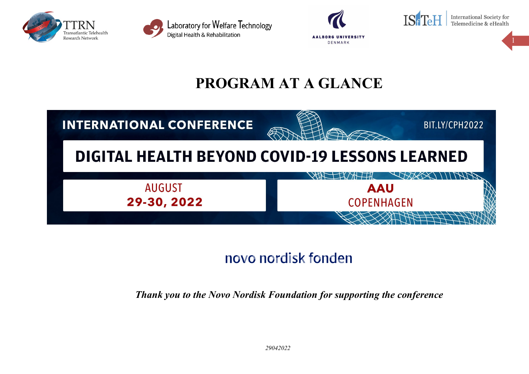



Laboratory for Welfare Technology Digital Health & Rehabilitation





**International Society for** Telemedicine & eHealth

# **PROGRAM AT A GLANCE**



# novo nordisk fonden

*Thank you to the Novo Nordisk Foundation for supporting the conference*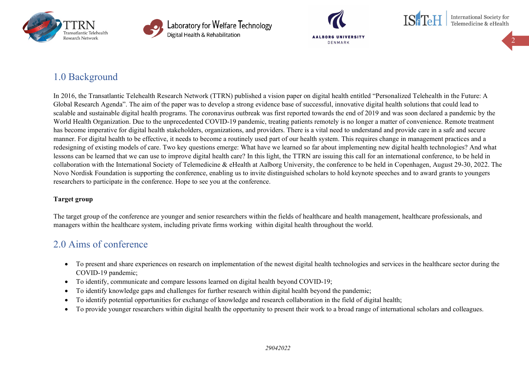



Laboratory for Welfare Technology Digital Health & Rehabilitation



International Society for Telemedicine & eHealth

2

# 1.0 Background

In 2016, the Transatlantic Telehealth Research Network (TTRN) published a vision paper on digital health entitled "Personalized Telehealth in the Future: A Global Research Agenda". The aim of the paper was to develop a strong evidence base of successful, innovative digital health solutions that could lead to scalable and sustainable digital health programs. The coronavirus outbreak was first reported towards the end of 2019 and was soon declared a pandemic by the World Health Organization. Due to the unprecedented COVID-19 pandemic, treating patients remotely is no longer a matter of convenience. Remote treatment has become imperative for digital health stakeholders, organizations, and providers. There is a vital need to understand and provide care in a safe and secure manner. For digital health to be effective, it needs to become a routinely used part of our health system. This requires change in management practices and a redesigning of existing models of care. Two key questions emerge: What have we learned so far about implementing new digital health technologies? And what lessons can be learned that we can use to improve digital health care? In this light, the TTRN are issuing this call for an international conference, to be held in collaboration with the International Society of Telemedicine & eHealth at Aalborg University, the conference to be held in Copenhagen, August 29-30, 2022. The Novo Nordisk Foundation is supporting the conference, enabling us to invite distinguished scholars to hold keynote speeches and to award grants to youngers researchers to participate in the conference. Hope to see you at the conference.

## **Target group**

The target group of the conference are younger and senior researchers within the fields of healthcare and health management, healthcare professionals, and managers within the healthcare system, including private firms working within digital health throughout the world.

# 2.0 Aims of conference

- To present and share experiences on research on implementation of the newest digital health technologies and services in the healthcare sector during the COVID-19 pandemic;
- To identify, communicate and compare lessons learned on digital health beyond COVID-19;
- To identify knowledge gaps and challenges for further research within digital health beyond the pandemic;
- To identify potential opportunities for exchange of knowledge and research collaboration in the field of digital health;
- To provide younger researchers within digital health the opportunity to present their work to a broad range of international scholars and colleagues.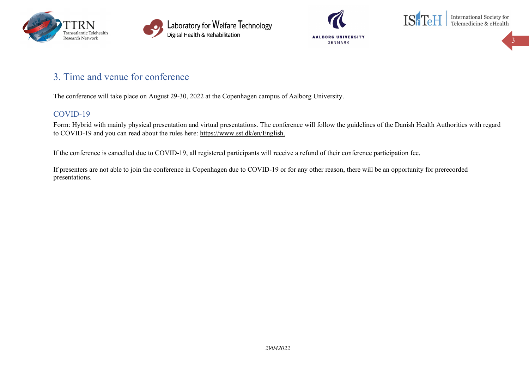







# 3. Time and venue for conference

The conference will take place on August 29-30, 2022 at the Copenhagen campus of Aalborg University.

## COVID-19

Form: Hybrid with mainly physical presentation and virtual presentations. The conference will follow the guidelines of the Danish Health Authorities with regard to COVID-19 and you can read about the rules here: [https://www.sst.dk/en/English.](https://www.sst.dk/en/English)

If the conference is cancelled due to COVID-19, all registered participants will receive a refund of their conference participation fee.

If presenters are not able to join the conference in Copenhagen due to COVID-19 or for any other reason, there will be an opportunity for prerecorded presentations.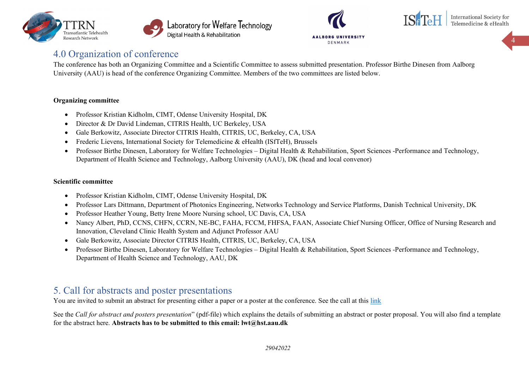







## 4.0 Organization of conference

The conference has both an Organizing Committee and a Scientific Committee to assess submitted presentation. Professor Birthe Dinesen from Aalborg University (AAU) is head of the conference Organizing Committee. Members of the two committees are listed below.

## **Organizing committee**

- Professor Kristian Kidholm, CIMT, Odense University Hospital, DK
- Director & Dr David Lindeman, CITRIS Health, UC Berkeley, USA
- Gale Berkowitz, Associate Director CITRIS Health, CITRIS, UC, Berkeley, CA, USA
- Frederic Lievens, International Society for Telemedicine & eHealth (ISfTeH), Brussels
- Professor Birthe Dinesen, Laboratory for Welfare Technologies Digital Health & Rehabilitation, Sport Sciences -Performance and Technology, Department of Health Science and Technology, Aalborg University (AAU), DK (head and local convenor)

## **Scientific committee**

- Professor Kristian Kidholm, CIMT, Odense University Hospital, DK
- Professor Lars Dittmann, Department of Photonics Engineering, Networks Technology and Service Platforms, Danish Technical University, DK
- Professor Heather Young, Betty Irene Moore Nursing school, UC Davis, CA, USA
- Nancy Albert, PhD, CCNS, CHFN, CCRN, NE-BC, FAHA, FCCM, FHFSA, FAAN, Associate Chief Nursing Officer, Office of Nursing Research and Innovation, Cleveland Clinic Health System and Adjunct Professor AAU
- Gale Berkowitz, Associate Director CITRIS Health, CITRIS, UC, Berkeley, CA, USA
- Professor Birthe Dinesen, Laboratory for Welfare Technologies Digital Health & Rehabilitation, Sport Sciences -Performance and Technology, Department of Health Science and Technology, AAU, DK

# 5. Call for abstracts and poster presentations

You are invited to submit an abstract for presenting either a paper or a poster at the conference. See the call at this [link](https://www.labwelfaretech.com/ttrn/cph2022/)

See the *Call for abstract and posters presentation*" (pdf-file) which explains the details of submitting an abstract or poster proposal. You will also find a template for the abstract here. **Abstracts has to be submitted to this email: lwt@hst.aau.dk**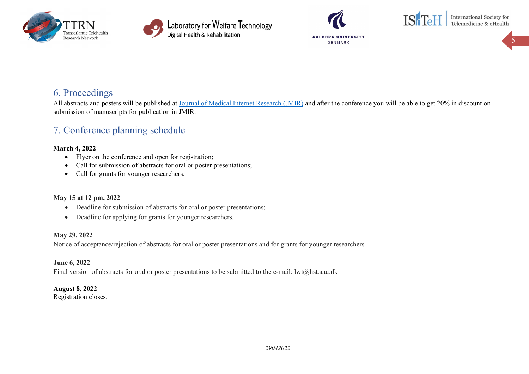







International Society for<br>Telemedicine & eHealth

5

# 6. Proceedings

All abstracts and posters will be published at [Journal of Medical Internet Research \(JMIR\)](https://www.jmir.org/) and after the conference you will be able to get 20% in discount on submission of manuscripts for publication in JMIR.

# 7. Conference planning schedule

## **March 4, 2022**

- Flyer on the conference and open for registration;
- Call for submission of abstracts for oral or poster presentations;
- Call for grants for younger researchers.

## **May 15 at 12 pm, 2022**

- Deadline for submission of abstracts for oral or poster presentations;
- Deadline for applying for grants for younger researchers.

## **May 29, 2022**

Notice of acceptance/rejection of abstracts for oral or poster presentations and for grants for younger researchers

**June 6, 2022** Final version of abstracts for oral or poster presentations to be submitted to the e-mail: lwt@hst.aau.dk

## **August 8, 2022**

Registration closes.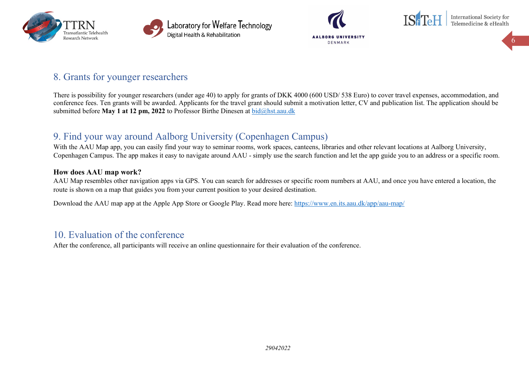







International Society for<br>Telemedicine & eHealth

6

# 8. Grants for younger researchers

There is possibility for younger researchers (under age 40) to apply for grants of DKK 4000 (600 USD/ 538 Euro) to cover travel expenses, accommodation, and conference fees. Ten grants will be awarded. Applicants for the travel grant should submit a motivation letter, CV and publication list. The application should be submitted before **May 1 at 12 pm, 2022** to Professor Birthe Dinesen at [bid@hst.aau.dk](mailto:bid@hst.aau.dk)

## 9. Find your way around Aalborg University (Copenhagen Campus)

With the AAU Map app, you can easily find your way to seminar rooms, work spaces, canteens, libraries and other relevant locations at Aalborg University, Copenhagen Campus. The app makes it easy to navigate around AAU - simply use the search function and let the app guide you to an address or a specific room.

## **How does AAU map work?**

AAU Map resembles other navigation apps via GPS. You can search for addresses or specific room numbers at AAU, and once you have entered a location, the route is shown on a map that guides you from your current position to your desired destination.

Download the AAU map app at the Apple App Store or Google Play. Read more here:<https://www.en.its.aau.dk/app/aau-map/>

## 10. Evaluation of the conference

After the conference, all participants will receive an online questionnaire for their evaluation of the conference.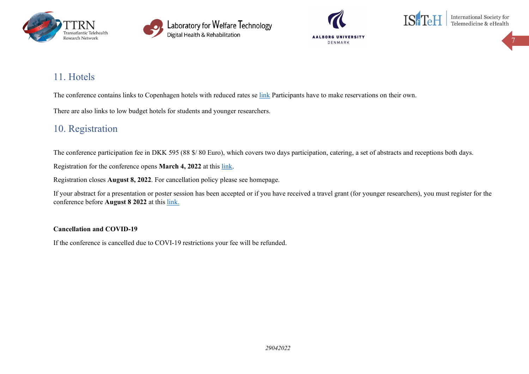









# 11. Hotels

The conference contains [link](https://www.labwelfaretech.com/ttrn/cph2022/)s to Copenhagen hotels with reduced rates se link Participants have to make reservations on their own.

There are also links to low budget hotels for students and younger researchers.

# 10. Registration

The conference participation fee in DKK 595 (88 \$/ 80 Euro), which covers two days participation, catering, a set of abstracts and receptions both days.

Registration for the conference opens **March 4, 2022** at this [link.](https://www.labwelfaretech.com/ttrn/cph2022/)

Registration closes **August 8, 2022**. For cancellation policy please see homepage.

If your abstract for a presentation or poster session has been accepted or if you have received a travel grant (for younger researchers), you must register for the conference before **August 8 2022** at this [link.](https://www.labwelfaretech.com/ttrn/cph2022/)

## **Cancellation and COVID-19**

If the conference is cancelled due to COVI-19 restrictions your fee will be refunded.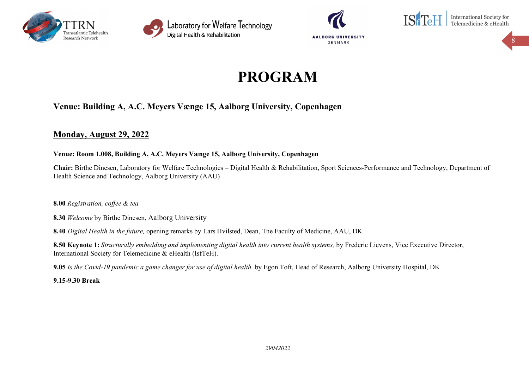





International Society for<br>Telemedicine & eHealth

8

# **PROGRAM**

## **Venue: Building A, A.C. Meyers Vænge 15, Aalborg University, Copenhagen**

## **Monday, August 29, 2022**

## **Venue: Room 1.008, Building A, A.C. Meyers Vænge 15, Aalborg University, Copenhagen**

**Chair:** Birthe Dinesen, Laboratory for Welfare Technologies – Digital Health & Rehabilitation, Sport Sciences-Performance and Technology, Department of Health Science and Technology, Aalborg University (AAU)

**8.00** *Registration, coffee & tea*

**8.30** *Welcome* by Birthe Dinesen, Aalborg University

**8.40** *Digital Health in the future,* opening remarks by Lars Hvilsted, Dean, The Faculty of Medicine, AAU, DK

**8.50 Keynote 1:** *Structurally embedding and implementing digital health into current health systems,* by Frederic Lievens, Vice Executive Director, International Society for Telemedicine & eHealth (IsfTeH).

**9.05** *Is the Covid-19 pandemic a game changer for use of digital health,* by Egon Toft, Head of Research, Aalborg University Hospital, DK

**9.15-9.30 Break**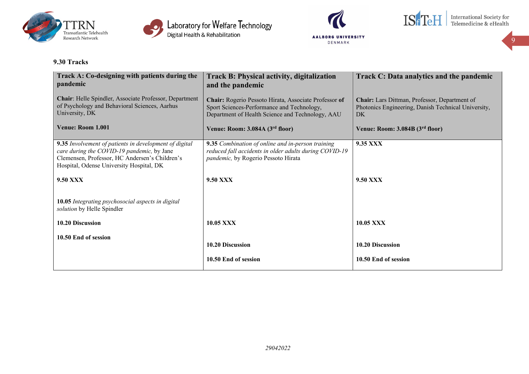







9

## **9.30 Tracks**

| Track A: Co-designing with patients during the<br>pandemic                                                                                                                                         | <b>Track B: Physical activity, digitalization</b><br>and the pandemic                                                                                   | Track C: Data analytics and the pandemic                                                                   |
|----------------------------------------------------------------------------------------------------------------------------------------------------------------------------------------------------|---------------------------------------------------------------------------------------------------------------------------------------------------------|------------------------------------------------------------------------------------------------------------|
| Chair: Helle Spindler, Associate Professor, Department<br>of Psychology and Behavioral Sciences, Aarhus<br>University, DK                                                                          | Chair: Rogerio Pessoto Hirata, Associate Professor of<br>Sport Sciences-Performance and Technology,<br>Department of Health Science and Technology, AAU | Chair: Lars Dittman, Professor, Department of<br>Photonics Engineering, Danish Technical University,<br>DK |
| Venue: Room 1.001                                                                                                                                                                                  | Venue: Room: 3.084A (3 <sup>rd</sup> floor)                                                                                                             | Venue: Room: 3.084B (3rd floor)                                                                            |
| 9.35 Involvement of patients in development of digital<br>care during the COVID-19 pandemic, by Jane<br>Clemensen, Professor, HC Andersen's Children's<br>Hospital, Odense University Hospital, DK | 9.35 Combination of online and in-person training<br>reduced fall accidents in older adults during COVID-19<br>pandemic, by Rogerio Pessoto Hirata      | 9.35 XXX                                                                                                   |
| <b>9.50 XXX</b>                                                                                                                                                                                    | <b>9.50 XXX</b>                                                                                                                                         | <b>9.50 XXX</b>                                                                                            |
| 10.05 Integrating psychosocial aspects in digital<br>solution by Helle Spindler                                                                                                                    |                                                                                                                                                         |                                                                                                            |
| 10.20 Discussion                                                                                                                                                                                   | 10.05 XXX                                                                                                                                               | 10.05 XXX                                                                                                  |
| 10.50 End of session                                                                                                                                                                               | 10.20 Discussion                                                                                                                                        | 10.20 Discussion                                                                                           |
|                                                                                                                                                                                                    | 10.50 End of session                                                                                                                                    | 10.50 End of session                                                                                       |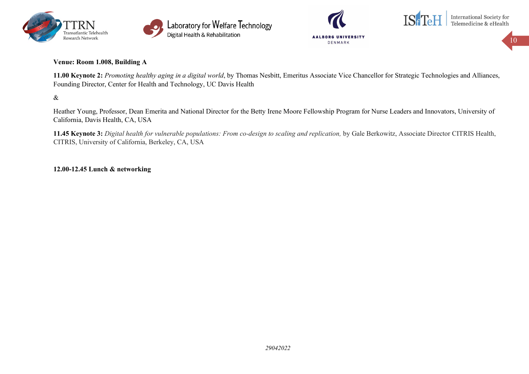





## **Venue: Room 1.008, Building A**

**11.00 Keynote 2:** *Promoting healthy aging in a digital world*, by Thomas Nesbitt, Emeritus Associate Vice Chancellor for Strategic Technologies and Alliances, Founding Director, Center for Health and Technology, UC Davis Health

&

Heather Young, Professor, Dean Emerita and National Director for the Betty Irene Moore Fellowship Program for Nurse Leaders and Innovators, University of California, Davis Health, CA, USA

**11.45 Keynote 3:** *Digital health for vulnerable populations: From co-design to scaling and replication,* by Gale Berkowitz, Associate Director CITRIS Health, CITRIS, University of California, Berkeley, CA, USA

## **12.00-12.45 Lunch & networking**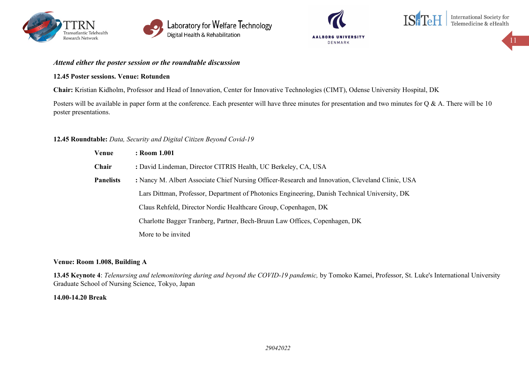







*Attend either the poster session or the roundtable discussion*

#### **12.45 Poster sessions. Venue: Rotunden**

**Chair:** Kristian Kidholm, Professor and Head of Innovation, Center for Innovative Technologies (CIMT), Odense University Hospital, DK

Posters will be available in paper form at the conference. Each presenter will have three minutes for presentation and two minutes for  $Q & A$ . There will be 10 poster presentations.

#### **12.45 Roundtable:** *Data, Security and Digital Citizen Beyond Covid-19*

| Venue            | : Room 1.001                                                                                     |
|------------------|--------------------------------------------------------------------------------------------------|
| Chair            | : David Lindeman, Director CITRIS Health, UC Berkeley, CA, USA                                   |
| <b>Panelists</b> | : Nancy M. Albert Associate Chief Nursing Officer-Research and Innovation, Cleveland Clinic, USA |
|                  | Lars Dittman, Professor, Department of Photonics Engineering, Danish Technical University, DK    |
|                  | Claus Rehfeld, Director Nordic Healthcare Group, Copenhagen, DK                                  |
|                  | Charlotte Bagger Tranberg, Partner, Bech-Bruun Law Offices, Copenhagen, DK                       |
|                  | More to be invited                                                                               |

#### **Venue: Room 1.008, Building A**

**13.45 Keynote 4**: *Telenursing and telemonitoring during and beyond the COVID-19 pandemic,* by Tomoko Kamei, Professor, St. Luke's International University Graduate School of Nursing Science, Tokyo, Japan

#### **14.00-14.20 Break**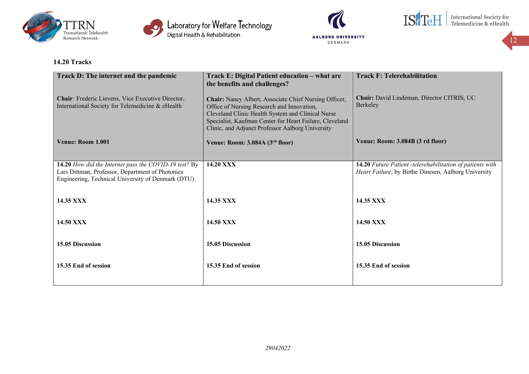







12

## **14.20 Tracks**

| Track D: The internet and the pandemic                                                                                                                          | Track E: Digital Patient education - what are<br>the benefits and challenges?                                                                                                                                                                                           | <b>Track F: Telerehabilitation</b>                                                                                |
|-----------------------------------------------------------------------------------------------------------------------------------------------------------------|-------------------------------------------------------------------------------------------------------------------------------------------------------------------------------------------------------------------------------------------------------------------------|-------------------------------------------------------------------------------------------------------------------|
| Chair: Frederic Lievens, Vice Executive Director,<br>International Society for Telemedicine & eHealth                                                           | Chair: Nancy Albert, Associate Chief Nursing Officer,<br>Office of Nursing Research and Innovation,<br>Cleveland Clinic Health System and Clinical Nurse<br>Specialist, Kaufman Center for Heart Failure, Cleveland<br>Clinic, and Adjunct Professor Aalborg University | Chair: David Lindeman, Director CITRIS, UC<br>Berkeley                                                            |
| Venue: Room 1.001                                                                                                                                               | Venue: Room: 3.084A (3rd floor)                                                                                                                                                                                                                                         | Venue: Room: 3.084B (3 rd floor)                                                                                  |
| 14.20 How did the Internet pass the COVID-19 test? By<br>Lars Dittman, Professor, Department of Photonics<br>Engineering, Technical University of Denmark (DTU) | 14.20 XXX                                                                                                                                                                                                                                                               | 14.20 Future Patient -telerehabilitation of patients with<br>Heart Failure, by Birthe Dinesen, Aalborg University |
| 14.35 XXX                                                                                                                                                       | 14.35 XXX                                                                                                                                                                                                                                                               | <b>14.35 XXX</b>                                                                                                  |
| <b>14.50 XXX</b>                                                                                                                                                | <b>14.50 XXX</b>                                                                                                                                                                                                                                                        | <b>14.50 XXX</b>                                                                                                  |
| 15.05 Discussion                                                                                                                                                | 15.05 Discussion                                                                                                                                                                                                                                                        | 15.05 Discussion                                                                                                  |
| 15.35 End of session                                                                                                                                            | 15.35 End of session                                                                                                                                                                                                                                                    | 15.35 End of session                                                                                              |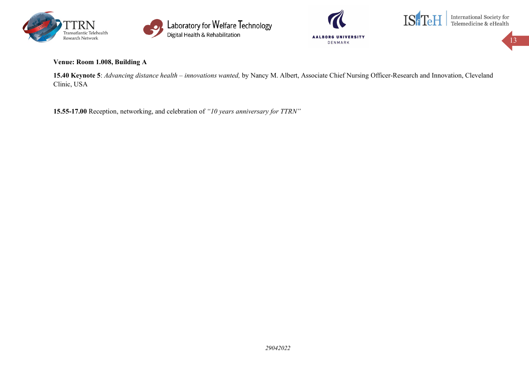





**Venue: Room 1.008, Building A**

**15.40 Keynote 5**: *Advancing distance health – innovations wanted,* by Nancy M. Albert, Associate Chief Nursing Officer-Research and Innovation, Cleveland Clinic, USA

**15.55-17.00** Reception, networking, and celebration of *"10 years anniversary for TTRN"*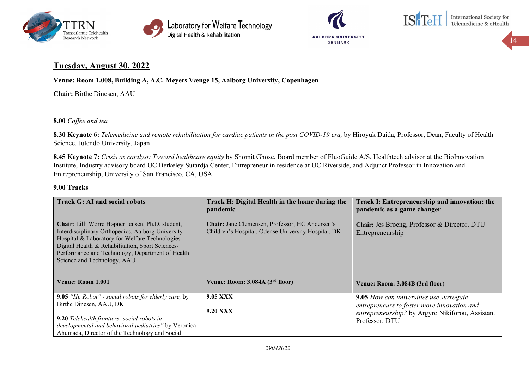





International Society for<br>Telemedicine & eHealth

14

## **Tuesday, August 30, 2022**

**Venue: Room 1.008, Building A, A.C. Meyers Vænge 15, Aalborg University, Copenhagen**

**Chair:** Birthe Dinesen, AAU

**8.00** *Coffee and tea*

**8.30 Keynote 6:** *Telemedicine and remote rehabilitation for cardiac patients in the post COVID-19 era,* by Hiroyuk Daida, Professor, Dean, Faculty of Health Science, Jutendo University, Japan

**8.45 Keynote 7:** *Crisis as catalyst: Toward healthcare equity* by Shomit Ghose, Board member of FluoGuide A/S, Healthtech advisor at the BioInnovation Institute, Industry advisory board UC Berkeley Sutardja Center, Entrepreneur in residence at UC Riverside, and Adjunct Professor in Innovation and Entrepreneurship, University of San Francisco, CA, USA

## **9.00 Tracks**

| <b>Track G: AI and social robots</b>                                                                                                                                                                                                                                                             | Track H: Digital Health in the home during the<br>pandemic                                             | Track I: Entrepreneurship and innovation: the<br>pandemic as a game changer                   |
|--------------------------------------------------------------------------------------------------------------------------------------------------------------------------------------------------------------------------------------------------------------------------------------------------|--------------------------------------------------------------------------------------------------------|-----------------------------------------------------------------------------------------------|
| Chair: Lilli Worre Høpner Jensen, Ph.D. student,<br>Interdisciplinary Orthopedics, Aalborg University<br>Hospital & Laboratory for Welfare Technologies -<br>Digital Health & Rehabilitation, Sport Sciences-<br>Performance and Technology, Department of Health<br>Science and Technology, AAU | Chair: Jane Clemensen, Professor, HC Andersen's<br>Children's Hospital, Odense University Hospital, DK | Chair: Jes Broeng, Professor & Director, DTU<br>Entrepreneurship                              |
| Venue: Room 1.001                                                                                                                                                                                                                                                                                | Venue: Room: 3.084A (3 <sup>rd</sup> floor)                                                            | Venue: Room: 3.084B (3rd floor)                                                               |
| 9.05 "Hi, Robot" - social robots for elderly care, by<br>Birthe Dinesen, AAU, DK                                                                                                                                                                                                                 | <b>9.05 XXX</b>                                                                                        | <b>9.05</b> How can universities use surrogate<br>entrepreneurs to foster more innovation and |
|                                                                                                                                                                                                                                                                                                  | <b>9.20 XXX</b>                                                                                        | entrepreneurship? by Argyro Nikiforou, Assistant                                              |
| 9.20 Telehealth frontiers: social robots in<br>developmental and behavioral pediatrics" by Veronica                                                                                                                                                                                              |                                                                                                        | Professor, DTU                                                                                |
| Ahumada, Director of the Technology and Social                                                                                                                                                                                                                                                   |                                                                                                        |                                                                                               |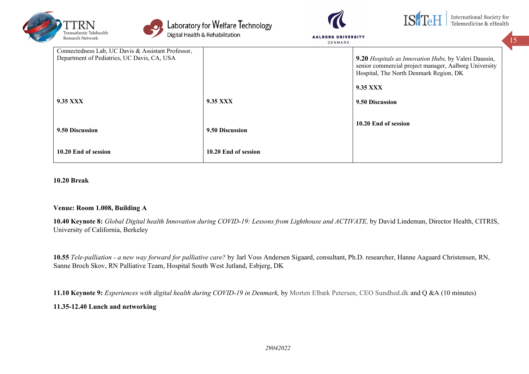



Laboratory for Welfare Technology<br>Digital Health & Rehabilitation



**AALBORG UNIVERSITY** 

|                                                                                                   | <b>UENMARK</b>       |                                                                                                                                                          |
|---------------------------------------------------------------------------------------------------|----------------------|----------------------------------------------------------------------------------------------------------------------------------------------------------|
| Connectedness Lab, UC Davis & Assistant Professor,<br>Department of Pediatrics, UC Davis, CA, USA |                      | 9.20 Hospitals as Innovation Hubs, by Valeri Daussin,<br>senior commercial project manager, Aalborg University<br>Hospital, The North Denmark Region, DK |
|                                                                                                   |                      | 9.35 XXX                                                                                                                                                 |
| 9.35 XXX                                                                                          | 9.35 XXX             | 9.50 Discussion                                                                                                                                          |
| 9.50 Discussion                                                                                   | 9.50 Discussion      | 10.20 End of session                                                                                                                                     |
| 10.20 End of session                                                                              | 10.20 End of session |                                                                                                                                                          |

## **10.20 Break**

## **Venue: Room 1.008, Building A**

**10.40 Keynote 8:** *Global Digital health Innovation during COVID-19: Lessons from Lighthouse and ACTIVATE,* by David Lindeman, Director Health, CITRIS, University of California, Berkeley

**10.55** *Tele-palliation - a new way forward for palliative care?* by Jarl Voss Andersen Sigaard, consultant, Ph.D. researcher, Hanne Aagaard Christensen, RN, Sanne Broch Skov, RN Palliative Team, Hospital South West Jutland, Esbjerg, DK

**11.10 Keynote 9:** *Experiences with digital health during COVID-19 in Denmark,* by Morten Elbæk Petersen, CEO Sundhed.dk and Q &A (10 minutes)

### **11.35-12.40 Lunch and networking**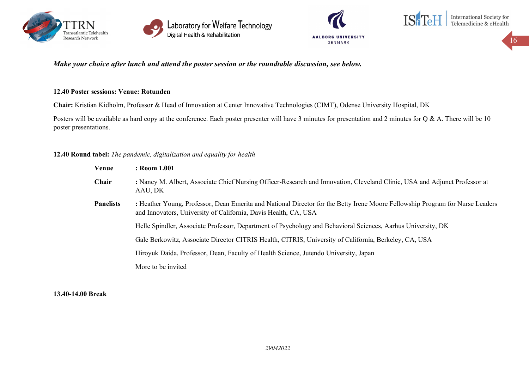







## *Make your choice after lunch and attend the poster session or the roundtable discussion, see below.*

## **12.40 Poster sessions: Venue: Rotunden**

**Chair:** Kristian Kidholm, Professor & Head of Innovation at Center Innovative Technologies (CIMT), Odense University Hospital, DK

Posters will be available as hard copy at the conference. Each poster presenter will have 3 minutes for presentation and 2 minutes for  $Q & A$ . There will be 10 poster presentations.

## **12.40 Round tabel:** *The pandemic, digitalization and equality for health*

| Venue            | : Room 1.001                                                                                                                                                                                     |
|------------------|--------------------------------------------------------------------------------------------------------------------------------------------------------------------------------------------------|
| Chair            | : Nancy M. Albert, Associate Chief Nursing Officer-Research and Innovation, Cleveland Clinic, USA and Adjunct Professor at<br>AAU, DK                                                            |
| <b>Panelists</b> | : Heather Young, Professor, Dean Emerita and National Director for the Betty Irene Moore Fellowship Program for Nurse Leaders<br>and Innovators, University of California, Davis Health, CA, USA |
|                  | Helle Spindler, Associate Professor, Department of Psychology and Behavioral Sciences, Aarhus University, DK                                                                                     |
|                  | Gale Berkowitz, Associate Director CITRIS Health, CITRIS, University of California, Berkeley, CA, USA                                                                                            |
|                  | Hiroyuk Daida, Professor, Dean, Faculty of Health Science, Jutendo University, Japan                                                                                                             |
|                  | More to be invited                                                                                                                                                                               |

## **13.40-14.00 Break**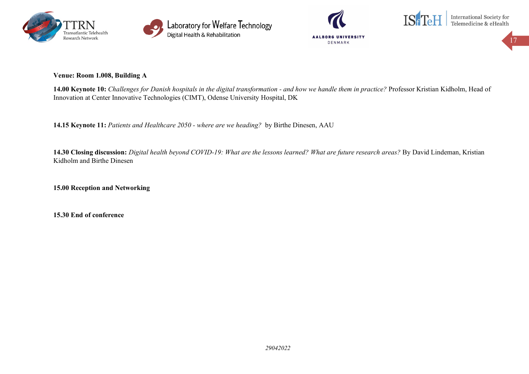







**Venue: Room 1.008, Building A**

**14.00 Keynote 10:** *Challenges for Danish hospitals in the digital transformation - and how we handle them in practice?* Professor Kristian Kidholm, Head of Innovation at Center Innovative Technologies (CIMT), Odense University Hospital, DK

**14.15 Keynote 11:** *Patients and Healthcare 2050 - where are we heading?* by Birthe Dinesen, AAU

**14.30 Closing discussion:** *Digital health beyond COVID-19: What are the lessons learned? What are future research areas?* By David Lindeman, Kristian Kidholm and Birthe Dinesen

**15.00 Reception and Networking**

**15.30 End of conference**